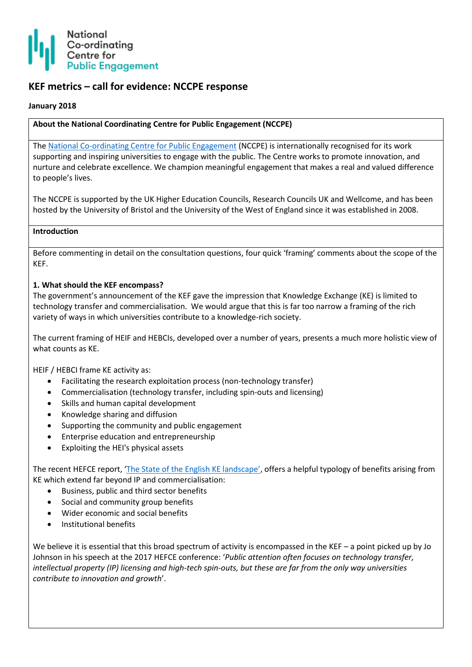

# **KEF metrics – call for evidence: NCCPE response**

#### **January 2018**

### **About the National Coordinating Centre for Public Engagement (NCCPE)**

Th[e National Co-ordinating Centre for Public Engagement](https://www.publicengagement.ac.uk/) (NCCPE) is internationally recognised for its work supporting and inspiring universities to engage with the public. The Centre works to promote innovation, and nurture and celebrate excellence. We champion meaningful engagement that makes a real and valued difference to people's lives.

The NCCPE is supported by the UK Higher Education Councils, Research Councils UK and Wellcome, and has been hosted by the University of Bristol and the University of the West of England since it was established in 2008.

#### **Introduction**

Before commenting in detail on the consultation questions, four quick 'framing' comments about the scope of the KEF.

### **1. What should the KEF encompass?**

The government's announcement of the KEF gave the impression that Knowledge Exchange (KE) is limited to technology transfer and commercialisation. We would argue that this is far too narrow a framing of the rich variety of ways in which universities contribute to a knowledge-rich society.

The current framing of HEIF and HEBCIs, developed over a number of years, presents a much more holistic view of what counts as KE.

HEIF / HEBCI frame KE activity as:

- Facilitating the research exploitation process (non-technology transfer)
- Commercialisation (technology transfer, including spin-outs and licensing)
- Skills and human capital development
- Knowledge sharing and diffusion
- Supporting the community and public engagement
- **•** Enterprise education and entrepreneurship
- Exploiting the HEI's physical assets

The recent HEFCE report, ['The State of the English KE landscape'](http://www.hefce.ac.uk/pubs/rereports/year/2017/kelandscape/), offers a helpful typology of benefits arising from KE which extend far beyond IP and commercialisation:

- Business, public and third sector benefits
- Social and community group benefits
- Wider economic and social benefits
- Institutional benefits

We believe it is essential that this broad spectrum of activity is encompassed in the KEF – a point picked up by Jo Johnson in his speech at the 2017 HEFCE conference: '*Public attention often focuses on technology transfer, intellectual property (IP) licensing and high-tech spin-outs, but these are far from the only way universities contribute to innovation and growth*'.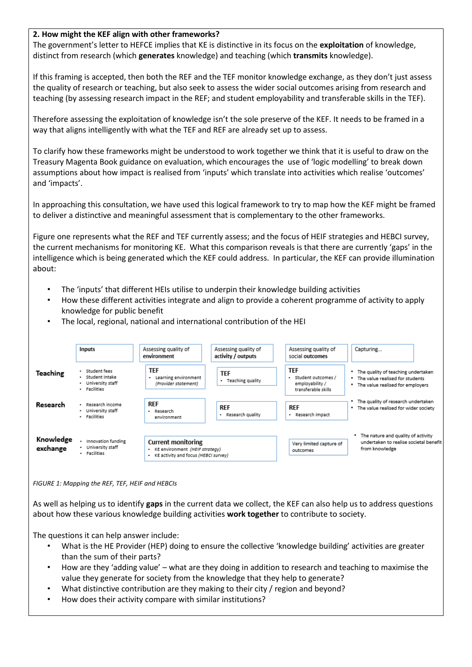### **2. How might the KEF align with other frameworks?**

The government's letter to HEFCE implies that KE is distinctive in its focus on the **exploitation** of knowledge, distinct from research (which **generates** knowledge) and teaching (which **transmits** knowledge).

If this framing is accepted, then both the REF and the TEF monitor knowledge exchange, as they don't just assess the quality of research or teaching, but also seek to assess the wider social outcomes arising from research and teaching (by assessing research impact in the REF; and student employability and transferable skills in the TEF).

Therefore assessing the exploitation of knowledge isn't the sole preserve of the KEF. It needs to be framed in a way that aligns intelligently with what the TEF and REF are already set up to assess.

To clarify how these frameworks might be understood to work together we think that it is useful to draw on the Treasury Magenta Book guidance on evaluation, which encourages the use of 'logic modelling' to break down assumptions about how impact is realised from 'inputs' which translate into activities which realise 'outcomes' and 'impacts'.

In approaching this consultation, we have used this logical framework to try to map how the KEF might be framed to deliver a distinctive and meaningful assessment that is complementary to the other frameworks.

Figure one represents what the REF and TEF currently assess; and the focus of HEIF strategies and HEBCI survey, the current mechanisms for monitoring KE. What this comparison reveals is that there are currently 'gaps' in the intelligence which is being generated which the KEF could address. In particular, the KEF can provide illumination about:

- The 'inputs' that different HEIs utilise to underpin their knowledge building activities
- How these different activities integrate and align to provide a coherent programme of activity to apply knowledge for public benefit
- The local, regional, national and international contribution of the HEI



*FIGURE 1: Mapping the REF, TEF, HEIF and HEBCIs*

As well as helping us to identify **gaps** in the current data we collect, the KEF can also help us to address questions about how these various knowledge building activities **work together** to contribute to society.

The questions it can help answer include:

- What is the HE Provider (HEP) doing to ensure the collective 'knowledge building' activities are greater than the sum of their parts?
- How are they 'adding value' what are they doing in addition to research and teaching to maximise the value they generate for society from the knowledge that they help to generate?
- What distinctive contribution are they making to their city / region and beyond?
- How does their activity compare with similar institutions?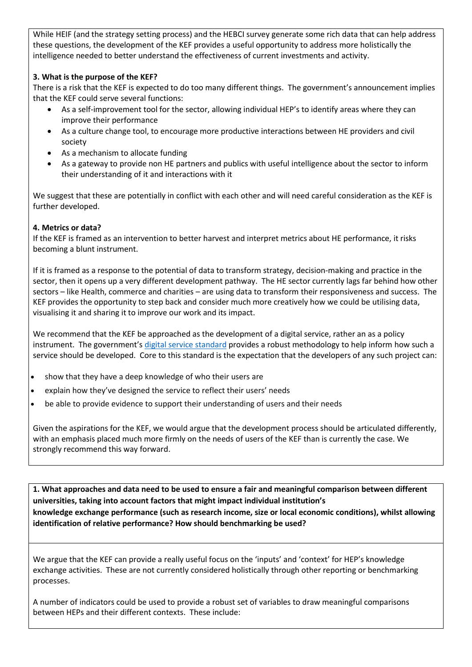While HEIF (and the strategy setting process) and the HEBCI survey generate some rich data that can help address these questions, the development of the KEF provides a useful opportunity to address more holistically the intelligence needed to better understand the effectiveness of current investments and activity.

## **3. What is the purpose of the KEF?**

There is a risk that the KEF is expected to do too many different things. The government's announcement implies that the KEF could serve several functions:

- As a self-improvement tool for the sector, allowing individual HEP's to identify areas where they can improve their performance
- As a culture change tool, to encourage more productive interactions between HE providers and civil society
- As a mechanism to allocate funding
- As a gateway to provide non HE partners and publics with useful intelligence about the sector to inform their understanding of it and interactions with it

We suggest that these are potentially in conflict with each other and will need careful consideration as the KEF is further developed.

### **4. Metrics or data?**

If the KEF is framed as an intervention to better harvest and interpret metrics about HE performance, it risks becoming a blunt instrument.

If it is framed as a response to the potential of data to transform strategy, decision-making and practice in the sector, then it opens up a very different development pathway. The HE sector currently lags far behind how other sectors – like Health, commerce and charities – are using data to transform their responsiveness and success. The KEF provides the opportunity to step back and consider much more creatively how we could be utilising data, visualising it and sharing it to improve our work and its impact.

We recommend that the KEF be approached as the development of a digital service, rather an as a policy instrument. The government's [digital service standard](https://www.gov.uk/service-manual/user-research/start-by-learning-user-needs) provides a robust methodology to help inform how such a service should be developed. Core to this standard is the expectation that the developers of any such project can:

- show that they have a deep knowledge of who their users are
- explain how they've designed the service to reflect their users' needs
- be able to provide evidence to support their understanding of users and their needs

Given the aspirations for the KEF, we would argue that the development process should be articulated differently, with an emphasis placed much more firmly on the needs of users of the KEF than is currently the case. We strongly recommend this way forward.

**1. What approaches and data need to be used to ensure a fair and meaningful comparison between different universities, taking into account factors that might impact individual institution's knowledge exchange performance (such as research income, size or local economic conditions), whilst allowing identification of relative performance? How should benchmarking be used?**

We argue that the KEF can provide a really useful focus on the 'inputs' and 'context' for HEP's knowledge exchange activities. These are not currently considered holistically through other reporting or benchmarking processes.

A number of indicators could be used to provide a robust set of variables to draw meaningful comparisons between HEPs and their different contexts. These include: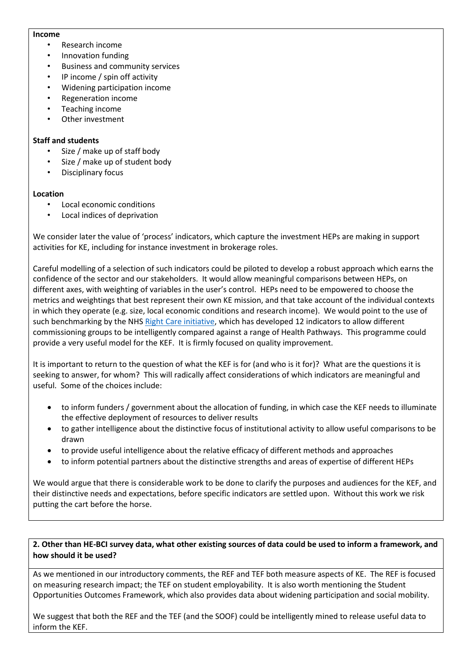#### **Income**

- Research income
- Innovation funding
- Business and community services
- IP income / spin off activity
- Widening participation income
- Regeneration income
- Teaching income
- Other investment

### **Staff and students**

- Size / make up of staff body
- Size / make up of student body
- Disciplinary focus

### **Location**

- Local economic conditions
- Local indices of deprivation

We consider later the value of 'process' indicators, which capture the investment HEPs are making in support activities for KE, including for instance investment in brokerage roles.

Careful modelling of a selection of such indicators could be piloted to develop a robust approach which earns the confidence of the sector and our stakeholders. It would allow meaningful comparisons between HEPs, on different axes, with weighting of variables in the user's control. HEPs need to be empowered to choose the metrics and weightings that best represent their own KE mission, and that take account of the individual contexts in which they operate (e.g. size, local economic conditions and research income). We would point to the use of such benchmarking by the NHS [Right Care initiative,](https://www.england.nhs.uk/rightcare/what-is-nhs-rightcare/) which has developed 12 indicators to allow different commissioning groups to be intelligently compared against a range of Health Pathways. This programme could provide a very useful model for the KEF. It is firmly focused on quality improvement.

It is important to return to the question of what the KEF is for (and who is it for)? What are the questions it is seeking to answer, for whom? This will radically affect considerations of which indicators are meaningful and useful. Some of the choices include:

- to inform funders / government about the allocation of funding, in which case the KEF needs to illuminate the effective deployment of resources to deliver results
- to gather intelligence about the distinctive focus of institutional activity to allow useful comparisons to be drawn
- to provide useful intelligence about the relative efficacy of different methods and approaches
- to inform potential partners about the distinctive strengths and areas of expertise of different HEPs

We would argue that there is considerable work to be done to clarify the purposes and audiences for the KEF, and their distinctive needs and expectations, before specific indicators are settled upon. Without this work we risk putting the cart before the horse.

### **2. Other than HE-BCI survey data, what other existing sources of data could be used to inform a framework, and how should it be used?**

As we mentioned in our introductory comments, the REF and TEF both measure aspects of KE. The REF is focused on measuring research impact; the TEF on student employability. It is also worth mentioning the Student Opportunities Outcomes Framework, which also provides data about widening participation and social mobility.

We suggest that both the REF and the TEF (and the SOOF) could be intelligently mined to release useful data to inform the KEF.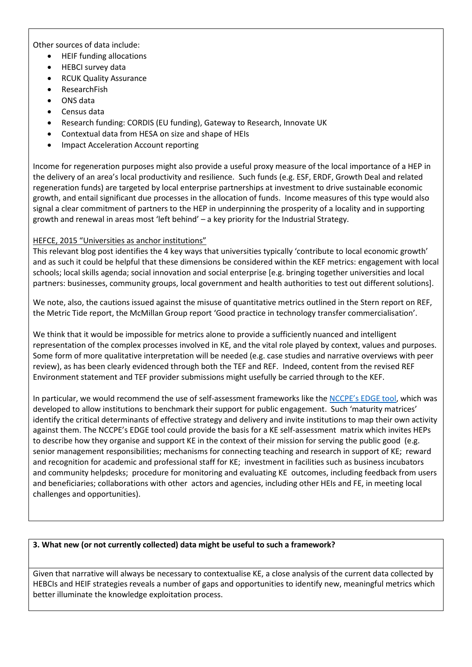Other sources of data include:

- HEIF funding allocations
- HEBCI survey data
- RCUK Quality Assurance
- ResearchFish
- ONS data
- Census data
- Research funding: CORDIS (EU funding), Gateway to Research, Innovate UK
- Contextual data from HESA on size and shape of HEIs
- Impact Acceleration Account reporting

Income for regeneration purposes might also provide a useful proxy measure of the local importance of a HEP in the delivery of an area's local productivity and resilience. Such funds (e.g. ESF, ERDF, Growth Deal and related regeneration funds) are targeted by local enterprise partnerships at investment to drive sustainable economic growth, and entail significant due processes in the allocation of funds. Income measures of this type would also signal a clear commitment of partners to the HEP in underpinning the prosperity of a locality and in supporting growth and renewal in areas most 'left behind' – a key priority for the Industrial Strategy.

### [HEFCE, 2015 "Universities as anchor institutions"](file:///C:/Users/p-manners/AppData/Local/Microsoft/Windows/Temporary%20Internet%20Files/Content.Outlook/LPM27NO2/blog.hefce.ac.uk/2015/03/16/universities-as-anchor-institutions/)

This relevant blog post identifies the 4 key ways that universities typically 'contribute to local economic growth' and as such it could be helpful that these dimensions be considered within the KEF metrics: engagement with local schools; local skills agenda; social innovation and social enterprise [e.g. bringing together universities and local partners: businesses, community groups, local government and health authorities to test out different solutions].

We note, also, the cautions issued against the misuse of quantitative metrics outlined in the Stern report on REF, the Metric Tide report, the McMillan Group report 'Good practice in technology transfer commercialisation'.

We think that it would be impossible for metrics alone to provide a sufficiently nuanced and intelligent representation of the complex processes involved in KE, and the vital role played by context, values and purposes. Some form of more qualitative interpretation will be needed (e.g. case studies and narrative overviews with peer review), as has been clearly evidenced through both the TEF and REF. Indeed, content from the revised REF Environment statement and TEF provider submissions might usefully be carried through to the KEF.

In particular, we would recommend the use of self-assessment frameworks like the [NCCPE's EDGE tool](https://www.publicengagement.ac.uk/support-engagement/strategy-and-planning/edge-tool), which was developed to allow institutions to benchmark their support for public engagement. Such 'maturity matrices' identify the critical determinants of effective strategy and delivery and invite institutions to map their own activity against them. The NCCPE's EDGE tool could provide the basis for a KE self-assessment matrix which invites HEPs to describe how they organise and support KE in the context of their mission for serving the public good (e.g. senior management responsibilities; mechanisms for connecting teaching and research in support of KE; reward and recognition for academic and professional staff for KE; investment in facilities such as business incubators and community helpdesks; procedure for monitoring and evaluating KE outcomes, including feedback from users and beneficiaries; collaborations with other actors and agencies, including other HEIs and FE, in meeting local challenges and opportunities).

### **3. What new (or not currently collected) data might be useful to such a framework?**

Given that narrative will always be necessary to contextualise KE, a close analysis of the current data collected by HEBCIs and HEIF strategies reveals a number of gaps and opportunities to identify new, meaningful metrics which better illuminate the knowledge exploitation process.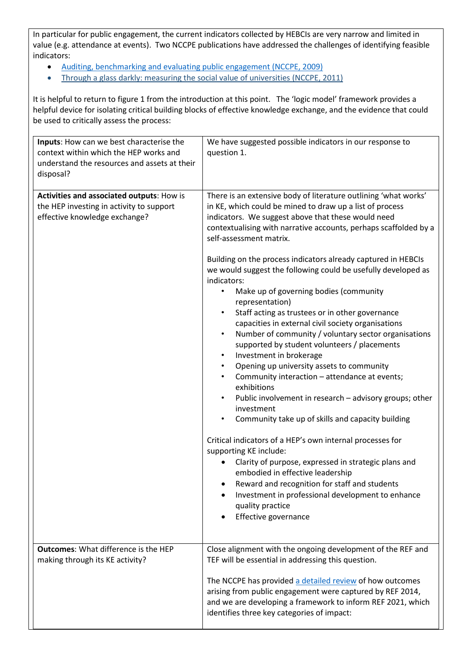In particular for public engagement, the current indicators collected by HEBCIs are very narrow and limited in value (e.g. attendance at events). Two NCCPE publications have addressed the challenges of identifying feasible indicators:

- [Auditing, benchmarking and evaluating public engagement](https://www.publicengagement.ac.uk/sites/default/files/publication/evaluatingpublicengagement_1.pdf) (NCCPE, 2009)
- [Through a glass darkly: measuring the social value of universities](https://www.publicengagement.ac.uk/sites/default/files/publication/80096_nccpe_social_value_report.pdf) (NCCPE, 2011)

It is helpful to return to figure 1 from the introduction at this point. The 'logic model' framework provides a helpful device for isolating critical building blocks of effective knowledge exchange, and the evidence that could be used to critically assess the process:

| Inputs: How can we best characterise the<br>context within which the HEP works and<br>understand the resources and assets at their<br>disposal? | We have suggested possible indicators in our response to<br>question 1.                                                                                                                                                                                                                                                                                                                                                                                                                                                                                                                                                                                                                                                                                                                                                                                                                                                                                                                                                                                                                                                                                                                                                                                                                                                                                                        |  |
|-------------------------------------------------------------------------------------------------------------------------------------------------|--------------------------------------------------------------------------------------------------------------------------------------------------------------------------------------------------------------------------------------------------------------------------------------------------------------------------------------------------------------------------------------------------------------------------------------------------------------------------------------------------------------------------------------------------------------------------------------------------------------------------------------------------------------------------------------------------------------------------------------------------------------------------------------------------------------------------------------------------------------------------------------------------------------------------------------------------------------------------------------------------------------------------------------------------------------------------------------------------------------------------------------------------------------------------------------------------------------------------------------------------------------------------------------------------------------------------------------------------------------------------------|--|
| Activities and associated outputs: How is<br>the HEP investing in activity to support<br>effective knowledge exchange?                          | There is an extensive body of literature outlining 'what works'<br>in KE, which could be mined to draw up a list of process<br>indicators. We suggest above that these would need<br>contextualising with narrative accounts, perhaps scaffolded by a<br>self-assessment matrix.<br>Building on the process indicators already captured in HEBCIs<br>we would suggest the following could be usefully developed as<br>indicators:<br>Make up of governing bodies (community<br>representation)<br>Staff acting as trustees or in other governance<br>capacities in external civil society organisations<br>Number of community / voluntary sector organisations<br>$\bullet$<br>supported by student volunteers / placements<br>Investment in brokerage<br>$\bullet$<br>Opening up university assets to community<br>$\bullet$<br>Community interaction - attendance at events;<br>exhibitions<br>Public involvement in research - advisory groups; other<br>investment<br>Community take up of skills and capacity building<br>Critical indicators of a HEP's own internal processes for<br>supporting KE include:<br>Clarity of purpose, expressed in strategic plans and<br>embodied in effective leadership<br>Reward and recognition for staff and students<br>$\bullet$<br>Investment in professional development to enhance<br>quality practice<br>Effective governance |  |
| <b>Outcomes:</b> What difference is the HEP<br>making through its KE activity?                                                                  | Close alignment with the ongoing development of the REF and<br>TEF will be essential in addressing this question.<br>The NCCPE has provided a detailed review of how outcomes<br>arising from public engagement were captured by REF 2014,<br>and we are developing a framework to inform REF 2021, which<br>identifies three key categories of impact:                                                                                                                                                                                                                                                                                                                                                                                                                                                                                                                                                                                                                                                                                                                                                                                                                                                                                                                                                                                                                        |  |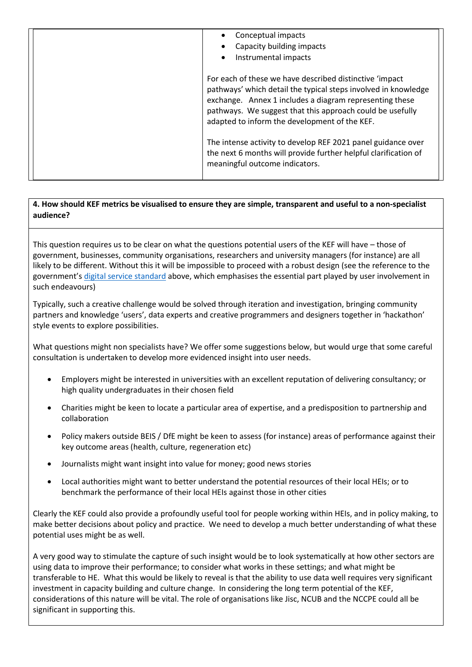| Conceptual impacts<br>Capacity building impacts<br>Instrumental impacts<br>$\bullet$                                                                                                                                                                                                               |
|----------------------------------------------------------------------------------------------------------------------------------------------------------------------------------------------------------------------------------------------------------------------------------------------------|
| For each of these we have described distinctive 'impact<br>pathways' which detail the typical steps involved in knowledge<br>exchange. Annex 1 includes a diagram representing these<br>pathways. We suggest that this approach could be usefully<br>adapted to inform the development of the KEF. |
| The intense activity to develop REF 2021 panel guidance over<br>the next 6 months will provide further helpful clarification of<br>meaningful outcome indicators.                                                                                                                                  |

# **4. How should KEF metrics be visualised to ensure they are simple, transparent and useful to a non-specialist audience?**

This question requires us to be clear on what the questions potential users of the KEF will have – those of government, businesses, community organisations, researchers and university managers (for instance) are all likely to be different. Without this it will be impossible to proceed with a robust design (see the reference to the government's [digital service standard](https://www.gov.uk/service-manual/user-research/start-by-learning-user-needs) above, which emphasises the essential part played by user involvement in such endeavours)

Typically, such a creative challenge would be solved through iteration and investigation, bringing community partners and knowledge 'users', data experts and creative programmers and designers together in 'hackathon' style events to explore possibilities.

What questions might non specialists have? We offer some suggestions below, but would urge that some careful consultation is undertaken to develop more evidenced insight into user needs.

- Employers might be interested in universities with an excellent reputation of delivering consultancy; or high quality undergraduates in their chosen field
- Charities might be keen to locate a particular area of expertise, and a predisposition to partnership and collaboration
- Policy makers outside BEIS / DfE might be keen to assess (for instance) areas of performance against their key outcome areas (health, culture, regeneration etc)
- Journalists might want insight into value for money; good news stories
- Local authorities might want to better understand the potential resources of their local HEIs; or to benchmark the performance of their local HEIs against those in other cities

Clearly the KEF could also provide a profoundly useful tool for people working within HEIs, and in policy making, to make better decisions about policy and practice. We need to develop a much better understanding of what these potential uses might be as well.

A very good way to stimulate the capture of such insight would be to look systematically at how other sectors are using data to improve their performance; to consider what works in these settings; and what might be transferable to HE. What this would be likely to reveal is that the ability to use data well requires very significant investment in capacity building and culture change. In considering the long term potential of the KEF, considerations of this nature will be vital. The role of organisations like Jisc, NCUB and the NCCPE could all be significant in supporting this.